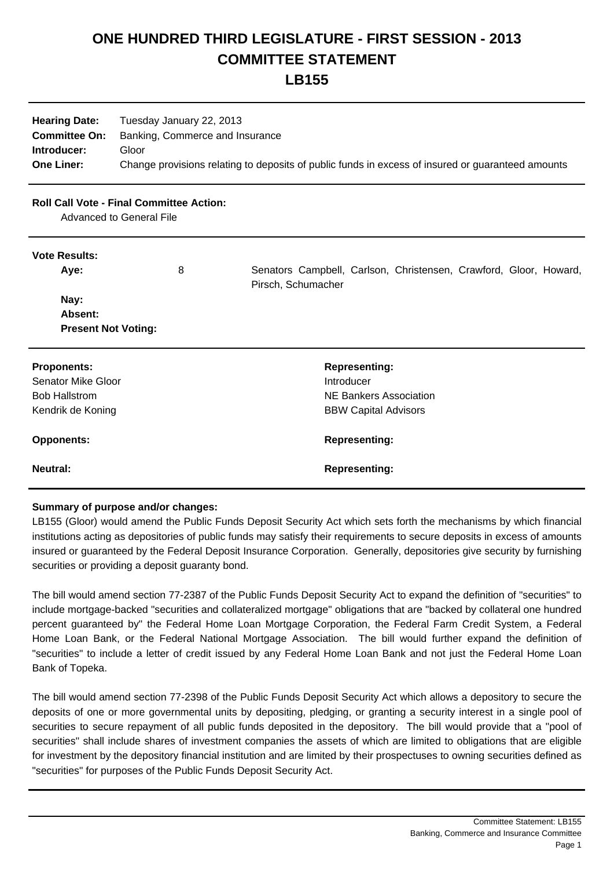## **ONE HUNDRED THIRD LEGISLATURE - FIRST SESSION - 2013 COMMITTEE STATEMENT**

**LB155**

| <b>Hearing Date:</b> | Tuesday January 22, 2013                                                                          |
|----------------------|---------------------------------------------------------------------------------------------------|
| <b>Committee On:</b> | Banking, Commerce and Insurance                                                                   |
| Introducer:          | Gloor                                                                                             |
| <b>One Liner:</b>    | Change provisions relating to deposits of public funds in excess of insured or guaranteed amounts |

## **Roll Call Vote - Final Committee Action:**

Advanced to General File

## **Vote Results:**

| Aye:                       | 8 | Senators Campbell, Carlson, Christensen, Crawford, Gloor, Howard,<br>Pirsch, Schumacher |
|----------------------------|---|-----------------------------------------------------------------------------------------|
| Nay:<br>Absent:            |   |                                                                                         |
|                            |   |                                                                                         |
| <b>Present Not Voting:</b> |   |                                                                                         |
| <b>Proponents:</b>         |   | <b>Representing:</b>                                                                    |
| <b>Senator Mike Gloor</b>  |   | Introducer                                                                              |
| <b>Bob Hallstrom</b>       |   | NE Bankers Association                                                                  |
| Kendrik de Koning          |   | <b>BBW Capital Advisors</b>                                                             |
| <b>Opponents:</b>          |   | <b>Representing:</b>                                                                    |
| <b>Neutral:</b>            |   | <b>Representing:</b>                                                                    |

## **Summary of purpose and/or changes:**

LB155 (Gloor) would amend the Public Funds Deposit Security Act which sets forth the mechanisms by which financial institutions acting as depositories of public funds may satisfy their requirements to secure deposits in excess of amounts insured or guaranteed by the Federal Deposit Insurance Corporation. Generally, depositories give security by furnishing securities or providing a deposit guaranty bond.

The bill would amend section 77-2387 of the Public Funds Deposit Security Act to expand the definition of "securities" to include mortgage-backed "securities and collateralized mortgage" obligations that are "backed by collateral one hundred percent guaranteed by" the Federal Home Loan Mortgage Corporation, the Federal Farm Credit System, a Federal Home Loan Bank, or the Federal National Mortgage Association. The bill would further expand the definition of "securities" to include a letter of credit issued by any Federal Home Loan Bank and not just the Federal Home Loan Bank of Topeka.

The bill would amend section 77-2398 of the Public Funds Deposit Security Act which allows a depository to secure the deposits of one or more governmental units by depositing, pledging, or granting a security interest in a single pool of securities to secure repayment of all public funds deposited in the depository. The bill would provide that a "pool of securities" shall include shares of investment companies the assets of which are limited to obligations that are eligible for investment by the depository financial institution and are limited by their prospectuses to owning securities defined as "securities" for purposes of the Public Funds Deposit Security Act.